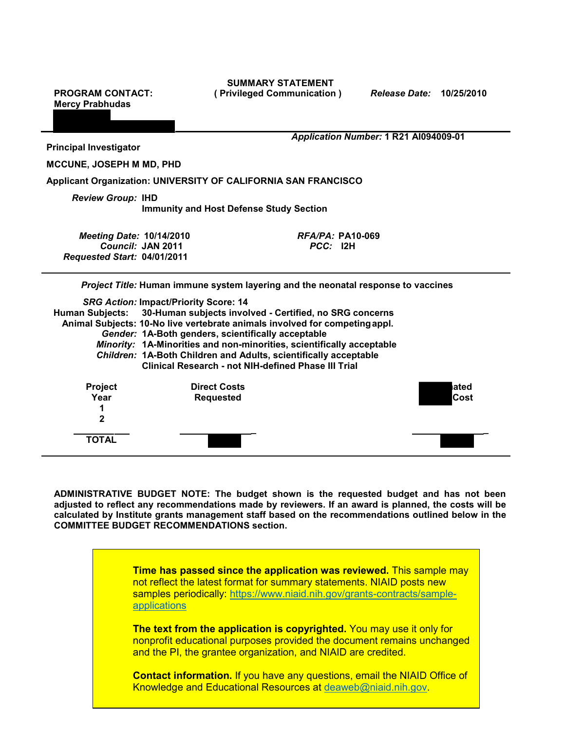**Mercy Prabhudas** 

**SUMMARY STATEMENT PROGRAM CONTACT: ( Privileged Communication )** *Release Date:* **10/25/2010** 

**Principal Investigator** 

*Application Number:* **1 R21 AI094009-01** 

**MCCUNE, JOSEPH M MD, PHD** 

**Applicant Organization: UNIVERSITY OF CALIFORNIA SAN FRANCISCO** 

*Review Group:* **IHD** 

**Immunity and Host Defense Study Section** 

| <b>Meeting Date: 10/14/2010</b> | <i>RFA/PA:</i> PA10-069 |
|---------------------------------|-------------------------|
| Council: JAN 2011               | <i>PCC:</i> I2H         |
| Requested Start: 04/01/2011     |                         |

*Project Title:* **Human immune system layering and the neonatal response to vaccines** 

|                                                                       | <b>SRG Action: Impact/Priority Score: 14</b>                                |       |
|-----------------------------------------------------------------------|-----------------------------------------------------------------------------|-------|
|                                                                       | Human Subjects: 30-Human subjects involved - Certified, no SRG concerns     |       |
|                                                                       | Animal Subjects: 10-No live vertebrate animals involved for competing appl. |       |
|                                                                       | Gender: 1A-Both genders, scientifically acceptable                          |       |
| Minority: 1A-Minorities and non-minorities, scientifically acceptable |                                                                             |       |
| Children: 1A-Both Children and Adults, scientifically acceptable      |                                                                             |       |
|                                                                       | Clinical Research - not NIH-defined Phase III Trial                         |       |
| <b>Project</b>                                                        | <b>Direct Costs</b>                                                         | lated |
| Year                                                                  | <b>Requested</b>                                                            | Cost  |
|                                                                       |                                                                             |       |
| $\mathbf{2}$                                                          |                                                                             |       |
| TOTAL                                                                 |                                                                             |       |

 **adjusted to reflect any recommendations made by reviewers. If an award is planned, the costs will be calculated by Institute grants management staff based on the recommendations outlined below in the ADMINISTRATIVE BUDGET NOTE: The budget shown is the requested budget and has not been COMMITTEE BUDGET RECOMMENDATIONS section.** 

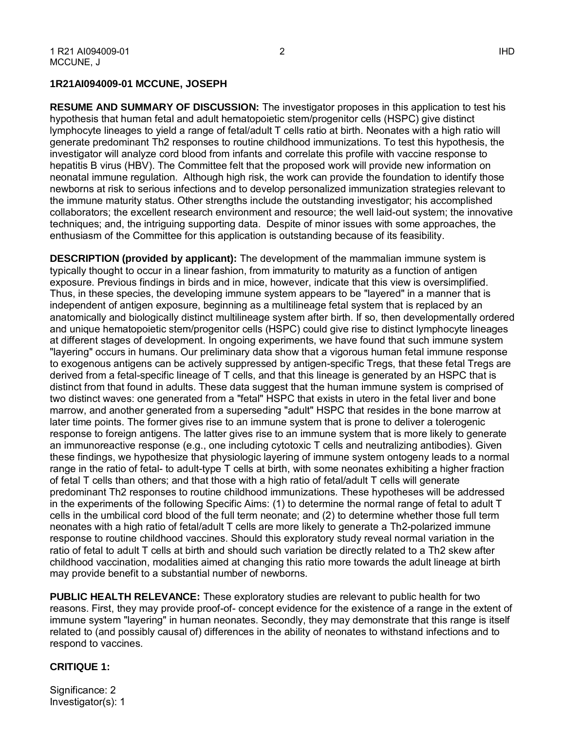## **1R21AI094009-01 MCCUNE, JOSEPH**

 hypothesis that human fetal and adult hematopoietic stem/progenitor cells (HSPC) give distinct lymphocyte lineages to yield a range of fetal/adult T cells ratio at birth. Neonates with a high ratio will investigator will analyze cord blood from infants and correlate this profile with vaccine response to enthusiasm of the Committee for this application is outstanding because of its feasibility. **RESUME AND SUMMARY OF DISCUSSION:** The investigator proposes in this application to test his generate predominant Th2 responses to routine childhood immunizations. To test this hypothesis, the hepatitis B virus (HBV). The Committee felt that the proposed work will provide new information on neonatal immune regulation. Although high risk, the work can provide the foundation to identify those newborns at risk to serious infections and to develop personalized immunization strategies relevant to the immune maturity status. Other strengths include the outstanding investigator; his accomplished collaborators; the excellent research environment and resource; the well laid-out system; the innovative techniques; and, the intriguing supporting data. Despite of minor issues with some approaches, the

 independent of antigen exposure, beginning as a multilineage fetal system that is replaced by an anatomically and biologically distinct multilineage system after birth. If so, then developmentally ordered at different stages of development. In ongoing experiments, we have found that such immune system "layering" occurs in humans. Our preliminary data show that a vigorous human fetal immune response distinct from that found in adults. These data suggest that the human immune system is comprised of two distinct waves: one generated from a "fetal" HSPC that exists in utero in the fetal liver and bone marrow, and another generated from a superseding "adult" HSPC that resides in the bone marrow at later time points. The former gives rise to an immune system that is prone to deliver a tolerogenic response to foreign antigens. The latter gives rise to an immune system that is more likely to generate these findings, we hypothesize that physiologic layering of immune system ontogeny leads to a normal range in the ratio of fetal- to adult-type T cells at birth, with some neonates exhibiting a higher fraction cells in the umbilical cord blood of the full term neonate; and (2) to determine whether those full term neonates with a high ratio of fetal/adult T cells are more likely to generate a Th2-polarized immune ratio of fetal to adult T cells at birth and should such variation be directly related to a Th2 skew after may provide benefit to a substantial number of newborns. **DESCRIPTION (provided by applicant):** The development of the mammalian immune system is typically thought to occur in a linear fashion, from immaturity to maturity as a function of antigen exposure. Previous findings in birds and in mice, however, indicate that this view is oversimplified. Thus, in these species, the developing immune system appears to be "layered" in a manner that is and unique hematopoietic stem/progenitor cells (HSPC) could give rise to distinct lymphocyte lineages to exogenous antigens can be actively suppressed by antigen-specific Tregs, that these fetal Tregs are derived from a fetal-specific lineage of T cells, and that this lineage is generated by an HSPC that is an immunoreactive response (e.g., one including cytotoxic T cells and neutralizing antibodies). Given of fetal T cells than others; and that those with a high ratio of fetal/adult T cells will generate predominant Th2 responses to routine childhood immunizations. These hypotheses will be addressed in the experiments of the following Specific Aims: (1) to determine the normal range of fetal to adult T response to routine childhood vaccines. Should this exploratory study reveal normal variation in the childhood vaccination, modalities aimed at changing this ratio more towards the adult lineage at birth

 related to (and possibly causal of) differences in the ability of neonates to withstand infections and to **PUBLIC HEALTH RELEVANCE:** These exploratory studies are relevant to public health for two reasons. First, they may provide proof-of- concept evidence for the existence of a range in the extent of immune system "layering" in human neonates. Secondly, they may demonstrate that this range is itself respond to vaccines.

#### **CRITIQUE 1:**

Significance: 2 Investigator(s): 1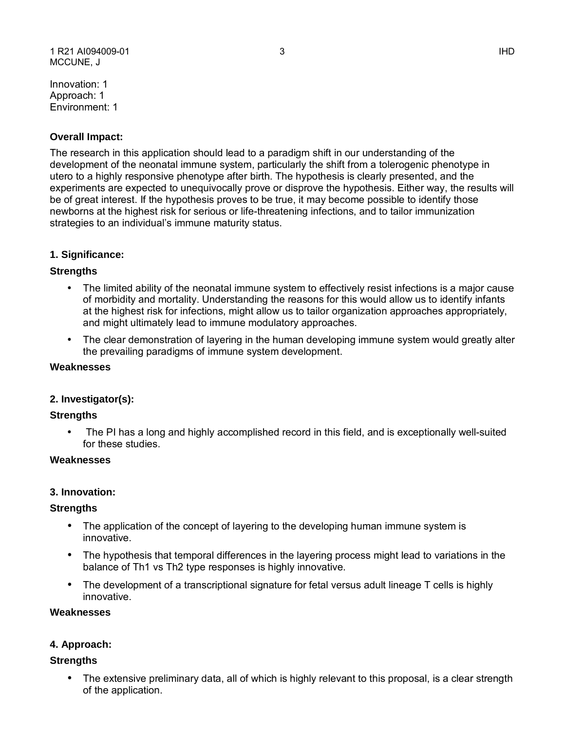Innovation: 1 Approach: 1 Environment: 1

## **Overall Impact:**

 newborns at the highest risk for serious or life-threatening infections, and to tailor immunization The research in this application should lead to a paradigm shift in our understanding of the development of the neonatal immune system, particularly the shift from a tolerogenic phenotype in utero to a highly responsive phenotype after birth. The hypothesis is clearly presented, and the experiments are expected to unequivocally prove or disprove the hypothesis. Either way, the results will be of great interest. If the hypothesis proves to be true, it may become possible to identify those strategies to an individual's immune maturity status.

## **1. Significance:**

## **Strengths**

- • The limited ability of the neonatal immune system to effectively resist infections is a major cause of morbidity and mortality. Understanding the reasons for this would allow us to identify infants at the highest risk for infections, might allow us to tailor organization approaches appropriately, and might ultimately lead to immune modulatory approaches.
- • The clear demonstration of layering in the human developing immune system would greatly alter the prevailing paradigms of immune system development.

### **Weaknesses**

### **2. Investigator(s):**

### **Strengths**

 • The PI has a long and highly accomplished record in this field, and is exceptionally well-suited for these studies.

### **Weaknesses**

### **3. Innovation:**

### **Strengths**

- • The application of the concept of layering to the developing human immune system is innovative.
- The hypothesis that temporal differences in the layering process might lead to variations in the balance of Th1 vs Th2 type responses is highly innovative.
- • The development of a transcriptional signature for fetal versus adult lineage T cells is highly innovative.

### **Weaknesses**

### **4. Approach:**

### **Strengths**

• The extensive preliminary data, all of which is highly relevant to this proposal, is a clear strength of the application.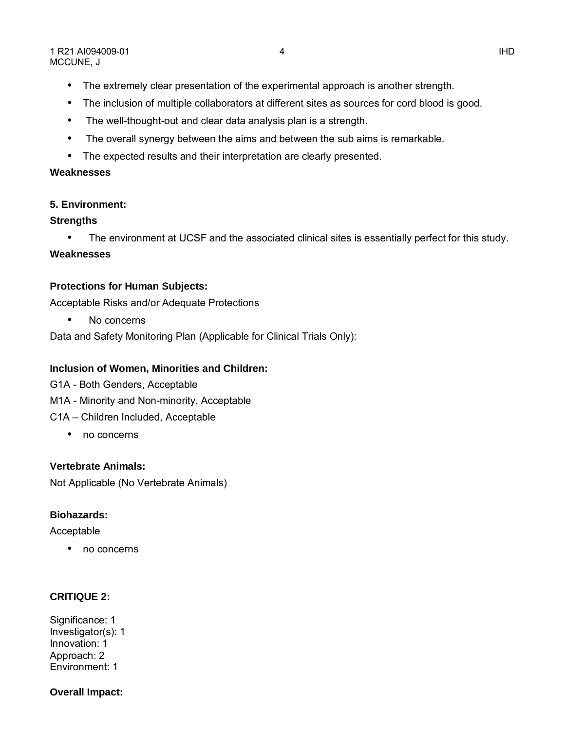- The inclusion of multiple collaborators at different sites as sources for cord blood is good.
- The well-thought-out and clear data analysis plan is a strength.
- The overall synergy between the aims and between the sub aims is remarkable.
- The expected results and their interpretation are clearly presented.

# **Weaknesses**

# **5. Environment:**

# **Strengths**

• The environment at UCSF and the associated clinical sites is essentially perfect for this study.

# **Weaknesses**

# **Protections for Human Subjects:**

Acceptable Risks and/or Adequate Protections

• No concerns

Data and Safety Monitoring Plan (Applicable for Clinical Trials Only):

# **Inclusion of Women, Minorities and Children:**

- G1A Both Genders, Acceptable
- M1A Minority and Non-minority, Acceptable
- C1A Children Included, Acceptable
	- no concerns

# **Vertebrate Animals:**

Not Applicable (No Vertebrate Animals)

# **Biohazards:**

Acceptable

• no concerns

# **CRITIQUE 2:**

Significance: 1 Investigator(s): 1 Innovation: 1 Approach: 2 Environment: 1

# **Overall Impact:**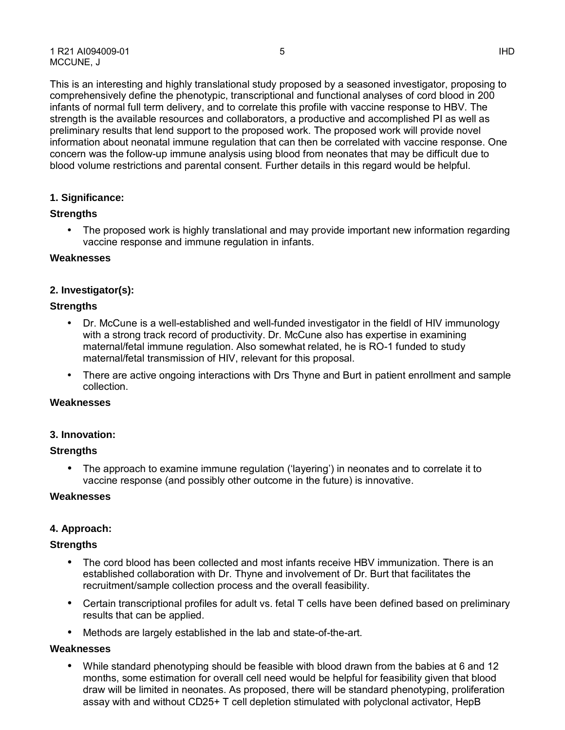concern was the follow-up immune analysis using blood from neonates that may be difficult due to

blood volume restrictions and parental consent. Further details in this regard would be helpful.

## **1. Significance:**

### **Strengths**

• The proposed work is highly translational and may provide important new information regarding vaccine response and immune regulation in infants.

### **Weaknesses**

## **2. Investigator(s):**

### **Strengths**

- with a strong track record of productivity. Dr. McCune also has expertise in examining • Dr. McCune is a well-established and well-funded investigator in the fieldl of HIV immunology maternal/fetal immune regulation. Also somewhat related, he is RO-1 funded to study maternal/fetal transmission of HIV, relevant for this proposal.
- There are active ongoing interactions with Drs Thyne and Burt in patient enrollment and sample collection.

## **Weaknesses**

### **3. Innovation:**

## **Strengths**

• The approach to examine immune regulation ('layering') in neonates and to correlate it to vaccine response (and possibly other outcome in the future) is innovative.

### **Weaknesses**

### **4. Approach:**

### **Strengths**

- The cord blood has been collected and most infants receive HBV immunization. There is an established collaboration with Dr. Thyne and involvement of Dr. Burt that facilitates the recruitment/sample collection process and the overall feasibility.
- • Certain transcriptional profiles for adult vs. fetal T cells have been defined based on preliminary results that can be applied.
- Methods are largely established in the lab and state-of-the-art.

## **Weaknesses**

 • While standard phenotyping should be feasible with blood drawn from the babies at 6 and 12 months, some estimation for overall cell need would be helpful for feasibility given that blood assay with and without CD25+ T cell depletion stimulated with polyclonal activator, HepB draw will be limited in neonates. As proposed, there will be standard phenotyping, proliferation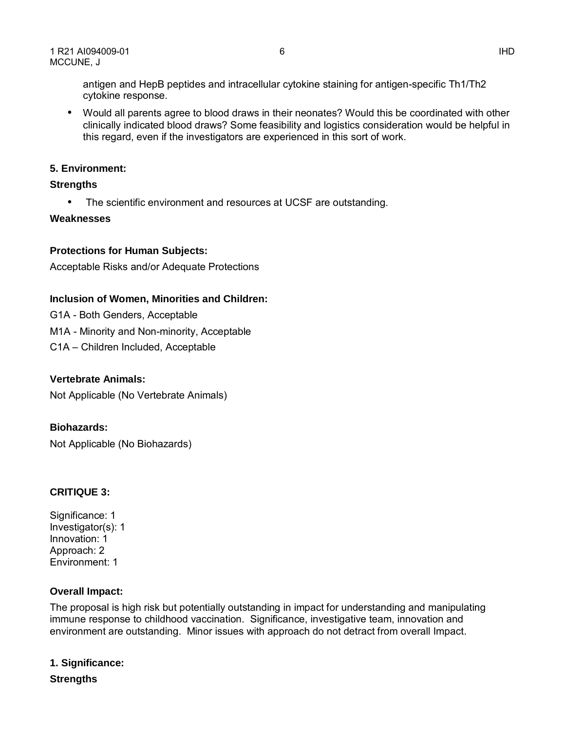antigen and HepB peptides and intracellular cytokine staining for antigen-specific Th1/Th2 cytokine response.

 • Would all parents agree to blood draws in their neonates? Would this be coordinated with other clinically indicated blood draws? Some feasibility and logistics consideration would be helpful in this regard, even if the investigators are experienced in this sort of work.

## **5. Environment:**

## **Strengths**

• The scientific environment and resources at UCSF are outstanding.

## **Weaknesses**

## **Protections for Human Subjects:**

Acceptable Risks and/or Adequate Protections

## **Inclusion of Women, Minorities and Children:**

- G1A Both Genders, Acceptable
- M1A Minority and Non-minority, Acceptable
- C1A Children Included, Acceptable

## **Vertebrate Animals:**

Not Applicable (No Vertebrate Animals)

## **Biohazards:**

Not Applicable (No Biohazards)

# **CRITIQUE 3:**

Significance: 1 Investigator(s): 1 Innovation: 1 Approach: 2 Environment: 1

## **Overall Impact:**

 The proposal is high risk but potentially outstanding in impact for understanding and manipulating environment are outstanding. Minor issues with approach do not detract from overall Impact. immune response to childhood vaccination. Significance, investigative team, innovation and

**1. Significance:** 

 **Strengths**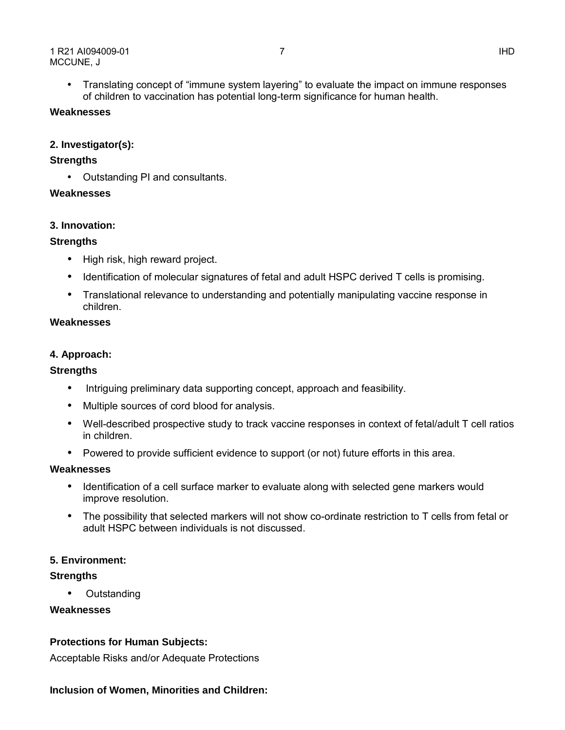• Translating concept of "immune system layering" to evaluate the impact on immune responses of children to vaccination has potential long-term significance for human health.

## **Weaknesses**

## **2. Investigator(s):**

### **Strengths**

• Outstanding PI and consultants.

## **Weaknesses**

## **3. Innovation:**

## **Strengths**

- High risk, high reward project.
- Identification of molecular signatures of fetal and adult HSPC derived T cells is promising.
- Translational relevance to understanding and potentially manipulating vaccine response in children.

## **Weaknesses**

## **4. Approach:**

## **Strengths**

- Intriguing preliminary data supporting concept, approach and feasibility.
- Multiple sources of cord blood for analysis.
- • Well-described prospective study to track vaccine responses in context of fetal/adult T cell ratios in children.
- Powered to provide sufficient evidence to support (or not) future efforts in this area.

### **Weaknesses**

- • Identification of a cell surface marker to evaluate along with selected gene markers would improve resolution.
- • The possibility that selected markers will not show co-ordinate restriction to T cells from fetal or adult HSPC between individuals is not discussed.

## **5. Environment:**

## **Strengths**

• Outstanding

### **Weaknesses**

## **Protections for Human Subjects:**

Acceptable Risks and/or Adequate Protections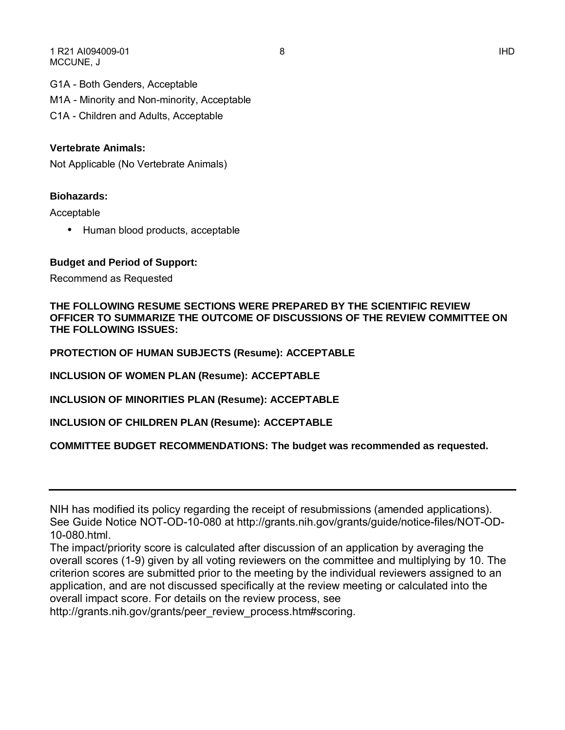1 R21 AI094009-01 8 IHD MCCUNE, J

G1A - Both Genders, Acceptable

M1A - Minority and Non-minority, Acceptable

C1A - Children and Adults, Acceptable

## **Vertebrate Animals:**

Not Applicable (No Vertebrate Animals)

### **Biohazards:**

Acceptable

• Human blood products, acceptable

### **Budget and Period of Support:**

Recommend as Requested

 **OFFICER TO SUMMARIZE THE OUTCOME OF DISCUSSIONS OF THE REVIEW COMMITTEE ON THE FOLLOWING RESUME SECTIONS WERE PREPARED BY THE SCIENTIFIC REVIEW THE FOLLOWING ISSUES:** 

**PROTECTION OF HUMAN SUBJECTS (Resume): ACCEPTABLE** 

**INCLUSION OF WOMEN PLAN (Resume): ACCEPTABLE** 

**INCLUSION OF MINORITIES PLAN (Resume): ACCEPTABLE** 

**INCLUSION OF CHILDREN PLAN (Resume): ACCEPTABLE** 

**COMMITTEE BUDGET RECOMMENDATIONS: The budget was recommended as requested.** 

[http://grants.nih.gov/grants/peer\\_review\\_process.htm#scoring](http://grants.nih.gov/grants/peer_review_process.htm#scoring).

NIH has modified its policy regarding the receipt of resubmissions (amended applications). See Guide Notice NOT-OD-10-080 at [http://grants.nih.gov/grants/guide/notice-files/NOT-OD-](http://grants.nih.gov/grants/guide/notice-files/NOT-OD)10-080.html.

The impact/priority score is calculated after discussion of an application by averaging the overall scores (1-9) given by all voting reviewers on the committee and multiplying by 10. The criterion scores are submitted prior to the meeting by the individual reviewers assigned to an application, and are not discussed specifically at the review meeting or calculated into the overall impact score. For details on the review process, see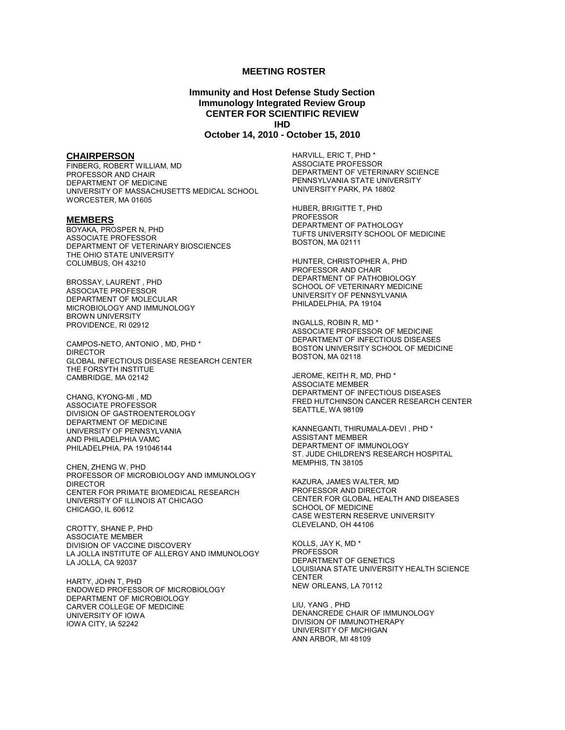#### **MEETING ROSTER**

#### **Immunity and Host Defense Study Section Immunology Integrated Review Group CENTER FOR SCIENTIFIC REVIEW IHD October 14, 2010 - October 15, 2010**

#### **CHAIRPERSON**

 FINBERG, ROBERT WILLIAM, MD PROFESSOR AND CHAIR DEPARTMENT OF MEDICINE UNIVERSITY OF MASSACHUSETTS MEDICAL SCHOOL WORCESTER, MA 01605

#### **MEMBERS**

BOYAKA, PROSPER N, PHD ASSOCIATE PROFESSOR DEPARTMENT OF VETERINARY BIOSCIENCES THE OHIO STATE UNIVERSITY COLUMBUS, OH 43210

BROSSAY, LAURENT , PHD ASSOCIATE PROFESSOR DEPARTMENT OF MOLECULAR MICROBIOLOGY AND IMMUNOLOGY BROWN UNIVERSITY PROVIDENCE, RI 02912

CAMPOS-NETO, ANTONIO , MD, PHD \* DIRECTOR GLOBAL INFECTIOUS DISEASE RESEARCH CENTER THE FORSYTH INSTITUE CAMBRIDGE, MA 02142

CHANG, KYONG-MI , MD ASSOCIATE PROFESSOR DIVISION OF GASTROENTEROLOGY DEPARTMENT OF MEDICINE UNIVERSITY OF PENNSYLVANIA AND PHILADELPHIA VAMC PHILADELPHIA, PA 191046144

CHEN, ZHENG W, PHD PROFESSOR OF MICROBIOLOGY AND IMMUNOLOGY DIRECTOR CENTER FOR PRIMATE BIOMEDICAL RESEARCH UNIVERSITY OF ILLINOIS AT CHICAGO CHICAGO, IL 60612

CROTTY, SHANE P, PHD ASSOCIATE MEMBER DIVISION OF VACCINE DISCOVERY LA JOLLA INSTITUTE OF ALLERGY AND IMMUNOLOGY LA JOLLA, CA 92037

HARTY, JOHN T, PHD ENDOWED PROFESSOR OF MICROBIOLOGY DEPARTMENT OF MICROBIOLOGY CARVER COLLEGE OF MEDICINE UNIVERSITY OF IOWA IOWA CITY, IA 52242

HARVILL, ERIC T, PHD \* ASSOCIATE PROFESSOR DEPARTMENT OF VETERINARY SCIENCE PENNSYLVANIA STATE UNIVERSITY UNIVERSITY PARK, PA 16802

HUBER, BRIGITTE T, PHD PROFESSOR DEPARTMENT OF PATHOLOGY TUFTS UNIVERSITY SCHOOL OF MEDICINE BOSTON, MA 02111

HUNTER, CHRISTOPHER A, PHD PROFESSOR AND CHAIR DEPARTMENT OF PATHOBIOLOGY SCHOOL OF VETERINARY MEDICINE UNIVERSITY OF PENNSYLVANIA PHILADELPHIA, PA 19104

INGALLS, ROBIN R, MD \* ASSOCIATE PROFESSOR OF MEDICINE DEPARTMENT OF INFECTIOUS DISEASES BOSTON UNIVERSITY SCHOOL OF MEDICINE BOSTON, MA 02118

 JEROME, KEITH R, MD, PHD \* ASSOCIATE MEMBER DEPARTMENT OF INFECTIOUS DISEASES FRED HUTCHINSON CANCER RESEARCH CENTER SEATTLE, WA 98109

KANNEGANTI, THIRUMALA-DEVI , PHD \* ASSISTANT MEMBER DEPARTMENT OF IMMUNOLOGY ST. JUDE CHILDREN'S RESEARCH HOSPITAL MEMPHIS, TN 38105

KAZURA, JAMES WALTER, MD PROFESSOR AND DIRECTOR CENTER FOR GLOBAL HEALTH AND DISEASES SCHOOL OF MEDICINE CASE WESTERN RESERVE UNIVERSITY CLEVELAND, OH 44106

 KOLLS, JAY K, MD \* PROFESSOR DEPARTMENT OF GENETICS LOUISIANA STATE UNIVERSITY HEALTH SCIENCE CENTER NEW ORLEANS, LA 70112

LIU, YANG , PHD DENANCREDE CHAIR OF IMMUNOLOGY DIVISION OF IMMUNOTHERAPY UNIVERSITY OF MICHIGAN ANN ARBOR, MI 48109